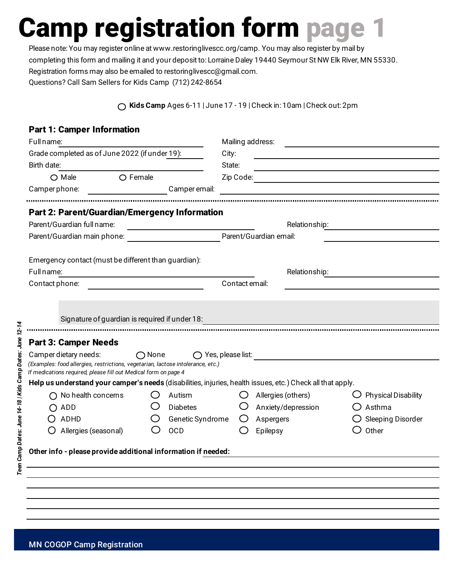Please note: You may register online at www.restoringlivescc.org/camp. You may also register by mail by completing this form and mailing it and your deposit to: Lorraine Daley 19440 Seymour St NW Elk River, MN 55330. Registration forms may also be emailed to restoringlivescc@gmail.com. Questions? Call Sam Sellers for Kids Camp (712) 242-8654

**Kids Camp** Ages 6-11 | June 17 - 19 | Check in: 10am | Check out: 2pm

#### Part 1: Camper Information

| Full name:                                                                                                                                                                  |                                                                                                                       |                                                   |                                                                                                                                | Mailing address:   |                                                                                                                       |  |
|-----------------------------------------------------------------------------------------------------------------------------------------------------------------------------|-----------------------------------------------------------------------------------------------------------------------|---------------------------------------------------|--------------------------------------------------------------------------------------------------------------------------------|--------------------|-----------------------------------------------------------------------------------------------------------------------|--|
| Grade completed as of June 2022 (if under 19):                                                                                                                              |                                                                                                                       |                                                   | City:                                                                                                                          |                    | <u> 1989 - Johann Barbara, martin amerikan basal dan berasal dalam basal dalam basal dalam basal dalam basal dala</u> |  |
| Birth date:                                                                                                                                                                 |                                                                                                                       |                                                   | State:<br><u> 1989 - Johann Barbara, marka a shekara tsa 1989 - An tsa 1989 - An tsa 1989 - An tsa 1989 - An tsa 1989 - An</u> |                    |                                                                                                                       |  |
| $\bigcirc$ Male                                                                                                                                                             | <b>Solution Contract Contract Contract Contract Contract Contract Contract Contract Contract Contract Contract Co</b> |                                                   |                                                                                                                                |                    |                                                                                                                       |  |
| _______________________Camper email:<br>Camper phone:                                                                                                                       |                                                                                                                       |                                                   | <u> 1980 - Johann Stein, mars an de Francisco Barbara, marca e a componenta de la componenta de la componenta de</u>           |                    |                                                                                                                       |  |
| <b>Part 2: Parent/Guardian/Emergency Information</b>                                                                                                                        |                                                                                                                       |                                                   |                                                                                                                                |                    |                                                                                                                       |  |
| Parent/Guardian full name:<br><u> 1980 - Andrea Aonaichte ann an t-Aonaichte ann an t-Aonaichte ann an t-Aonaichte ann an t-Aonaichte ann an t-</u>                         |                                                                                                                       |                                                   |                                                                                                                                |                    |                                                                                                                       |  |
|                                                                                                                                                                             |                                                                                                                       |                                                   |                                                                                                                                |                    |                                                                                                                       |  |
| Emergency contact (must be different than guardian):                                                                                                                        |                                                                                                                       |                                                   |                                                                                                                                |                    |                                                                                                                       |  |
| Full name:                                                                                                                                                                  |                                                                                                                       | <u> 1989 - Johann Barbara, martxa alemaniar a</u> |                                                                                                                                | Relationship:      |                                                                                                                       |  |
| Contact phone:                                                                                                                                                              |                                                                                                                       |                                                   | Contact email:                                                                                                                 |                    |                                                                                                                       |  |
|                                                                                                                                                                             |                                                                                                                       |                                                   |                                                                                                                                |                    |                                                                                                                       |  |
| Signature of guardian is required if under 18:                                                                                                                              |                                                                                                                       |                                                   |                                                                                                                                |                    |                                                                                                                       |  |
| <b>Part 3: Camper Needs</b>                                                                                                                                                 |                                                                                                                       |                                                   |                                                                                                                                |                    |                                                                                                                       |  |
| Camper dietary needs:<br>(Examples: food allergies, restrictions, vegetarian, lactose intolerance, etc.)<br>If medications required, please fill out Medical form on page 4 | $\bigcirc$ None                                                                                                       |                                                   |                                                                                                                                |                    |                                                                                                                       |  |
| Help us understand your camper's needs (disabilities, injuries, health issues, etc.) Check all that apply.                                                                  |                                                                                                                       |                                                   |                                                                                                                                |                    |                                                                                                                       |  |
| $\bigcap$ No health concerns                                                                                                                                                |                                                                                                                       | Autism                                            |                                                                                                                                | Allergies (others) | $\bigcup$ Physical Disability                                                                                         |  |
| ADD                                                                                                                                                                         |                                                                                                                       | <b>Diabetes</b>                                   |                                                                                                                                | Anxiety/depression | $\bigcirc$ Asthma                                                                                                     |  |
| ADHD                                                                                                                                                                        |                                                                                                                       | Genetic Syndrome                                  |                                                                                                                                | Aspergers          | $\bigcirc$ Sleeping Disorder                                                                                          |  |
| Allergies (seasonal)                                                                                                                                                        |                                                                                                                       | <b>OCD</b>                                        |                                                                                                                                | Epilepsy           | Other                                                                                                                 |  |
| Other info - please provide additional information if needed:                                                                                                               |                                                                                                                       |                                                   |                                                                                                                                |                    |                                                                                                                       |  |
|                                                                                                                                                                             |                                                                                                                       |                                                   |                                                                                                                                |                    |                                                                                                                       |  |
|                                                                                                                                                                             |                                                                                                                       |                                                   |                                                                                                                                |                    |                                                                                                                       |  |
|                                                                                                                                                                             |                                                                                                                       |                                                   |                                                                                                                                |                    |                                                                                                                       |  |
|                                                                                                                                                                             |                                                                                                                       |                                                   |                                                                                                                                |                    |                                                                                                                       |  |
|                                                                                                                                                                             |                                                                                                                       |                                                   |                                                                                                                                |                    |                                                                                                                       |  |
|                                                                                                                                                                             |                                                                                                                       |                                                   |                                                                                                                                |                    |                                                                                                                       |  |

Teen Camp Dates: June 14-18 | Kids Camp Dates: June 12-14 *Teen Camp Dates: June 14-18 | Kids Camp Dates: June 12-14*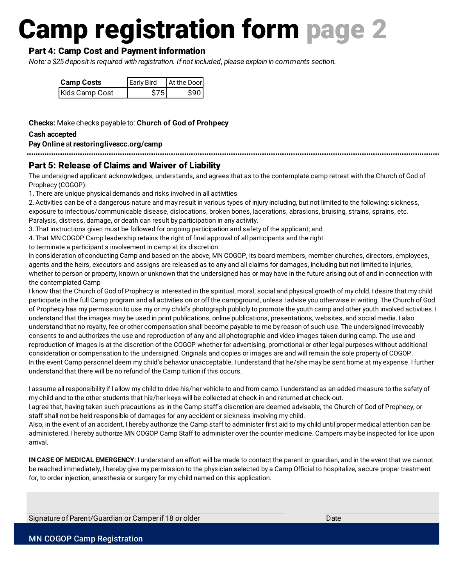#### Part 4: Camp Cost and Payment information

*Note: a \$25 deposit is required with registration. If not included, please explain in comments section.* 

| <b>Camp Costs</b> | <b>Early Bird</b> | At the Door |
|-------------------|-------------------|-------------|
| Kids Camp Cost    | S75.              | \$90        |

**Checks:** Make checks payable to: **Church of God of Prohpecy**

#### **Cash accepted**

**Pay Online** at **restoringlivescc.org/camp**

#### Part 5: Release of Claims and Waiver of Liability

The undersigned applicant acknowledges, understands, and agrees that as to the contemplate camp retreat with the Church of God of Prophecy (COGOP):

1. There are unique physical demands and risks involved in all activities

2. Activities can be of a dangerous nature and may result in various types of injury including, but not limited to the following: sickness, exposure to infectious/communicable disease, dislocations, broken bones, lacerations, abrasions, bruising, strains, sprains, etc. Paralysis, distress, damage, or death can result by participation in any activity.

3. That instructions given must be followed for ongoing participation and safety of the applicant; and

4. That MN COGOP Camp leadership retains the right of final approval of all participants and the right

to terminate a participant's involvement in camp at its discretion.

In consideration of conducting Camp and based on the above, MN COGOP, its board members, member churches, directors, employees, agents and the heirs, executors and assigns are released as to any and all claims for damages, including but not limited to injuries, whether to person or property, known or unknown that the undersigned has or may have in the future arising out of and in connection with the contemplated Camp

I know that the Church of God of Prophecy is interested in the spiritual, moral, social and physical growth of my child. I desire that my child participate in the full Camp program and all activities on or off the campground, unless I advise you otherwise in writing. The Church of God of Prophecy has my permission to use my or my child's photograph publicly to promote the youth camp and other youth involved activities. I understand that the images may be used in print publications, online publications, presentations, websites, and social media. I also understand that no royalty, fee or other compensation shall become payable to me by reason of such use. The undersigned irrevocably consents to and authorizes the use and reproduction of any and all photographic and video images taken during camp. The use and reproduction of images is at the discretion of the COGOP whether for advertising, promotional or other legal purposes without additional consideration or compensation to the undersigned. Originals and copies or images are and will remain the sole property of COGOP. In the event Camp personnel deem my child's behavior unacceptable, I understand that he/she may be sent home at my expense. I further understand that there will be no refund of the Camp tuition if this occurs.

I assume all responsibility if I allow my child to drive his/her vehicle to and from camp. I understand as an added measure to the safety of my child and to the other students that his/her keys will be collected at check-in and returned at check-out.

I agree that, having taken such precautions as in the Camp staff's discretion are deemed advisable, the Church of God of Prophecy, or staff shall not be held responsible of damages for any accident or sickness involving my child.

Also, in the event of an accident, I hereby authorize the Camp staff to administer first aid to my child until proper medical attention can be administered. I hereby authorize MN COGOP Camp Staff to administer over the counter medicine. Campers may be inspected for lice upon arrival.

**IN CASE OF MEDICAL EMERGENCY**: I understand an effort will be made to contact the parent or guardian, and in the event that we cannot be reached immediately, I hereby give my permission to the physician selected by a Camp Official to hospitalize, secure proper treatment for, to order injection, anesthesia or surgery for my child named on this application.

Signature of Parent/Guardian or Camper if 18 or older Date Date Date Date Date Date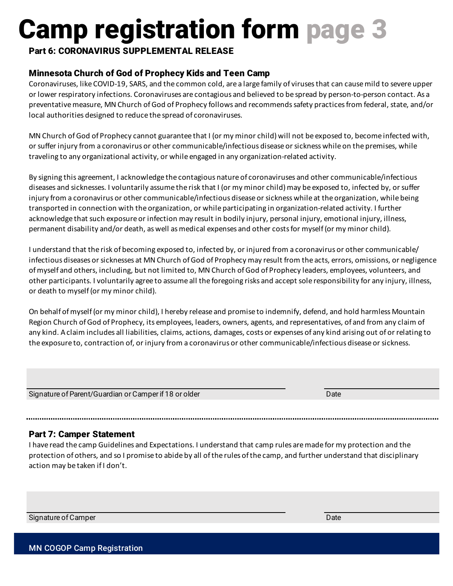#### Part 6: CORONAVIRUS SUPPLEMENTAL RELEASE

### Minnesota Church of God of Prophecy Kids and Teen Camp

Coronaviruses, like COVID-19, SARS, and the common cold, are a large family of viruses that can cause mild to severe upper or lower respiratory infections. Coronaviruses are contagious and believed to be spread by person-to-person contact. As a preventative measure, MN Church of God of Prophecy follows and recommends safety practices from federal, state, and/or local authorities designed to reduce the spread of coronaviruses.

MN Church of God of Prophecy cannot guarantee that I (or my minor child) will not be exposed to, become infected with, or suffer injury from a coronavirus or other communicable/infectious disease or sickness while on the premises, while traveling to any organizational activity, or while engaged in any organization-related activity.

By signing this agreement, I acknowledge the contagious nature of coronaviruses and other communicable/infectious diseases and sicknesses. I voluntarily assume the risk that I (or my minor child) may be exposed to, infected by, or suffer injury from a coronavirus or other communicable/infectious disease or sickness while at the organization, while being transported in connection with the organization, or while participating in organization-related activity. I further acknowledge that such exposure or infection may result in bodily injury, personal injury, emotional injury, illness, permanent disability and/or death, as well as medical expenses and other costs for myself (or my minor child).

I understand that the risk of becoming exposed to, infected by, or injured from a coronavirus or other communicable/ infectious diseases or sicknesses at MN Church of God of Prophecy may result from the acts, errors, omissions, or negligence of myself and others, including, but not limited to, MN Church of God of Prophecy leaders, employees, volunteers, and other participants. I voluntarily agree to assume all the foregoing risks and accept sole responsibility for any injury, illness, or death to myself (or my minor child).

On behalf of myself (or my minor child), I hereby release and promise to indemnify, defend, and hold harmless Mountain Region Church of God of Prophecy, its employees, leaders, owners, agents, and representatives, of and from any claim of any kind. A claim includes all liabilities, claims, actions, damages, costs or expenses of any kind arising out of or relating to the exposure to, contraction of, or injury from a coronavirus or other communicable/infectious disease or sickness.

Signature of Parent/Guardian or Camper if 18 or older Date Date Date Date Date

#### Part 7: Camper Statement

I have read the camp Guidelines and Expectations. I understand that camp rules are made for my protection and the protection of others, and so I promise to abide by all of the rules of the camp, and further understand that disciplinary action may be taken if I don't.

Signature of Camper Date Date of Camper Date Date of Camper Date of Camper Date of Camper Date of Camper Date

MN COGOP Camp Registration